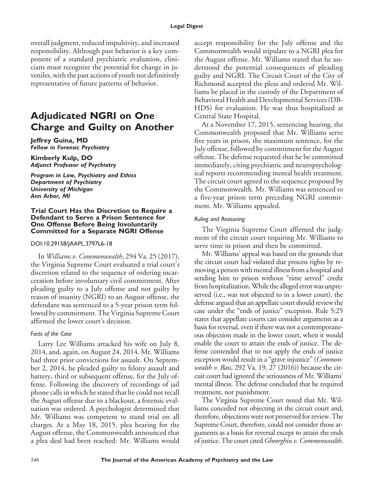overall judgment, reduced impulsivity, and increased responsibility. Although past behavior is a key component of a standard psychiatric evaluation, clinicians must recognize the potential for change in juveniles, with the past actions of youth not definitively representative of future patterns of behavior.

# **Adjudicated NGRI on One Charge and Guilty on Another**

**Jeffrey Guina, MD** *Fellow in Forensic Psychiatry*

**Kimberly Kulp, DO** *Adjunct Professor of Psychiatry*

*Program in Law, Psychiatry and Ethics Department of Psychiatry University of Michigan Ann Arbor, MI*

#### **Trial Court Has the Discretion to Require a Defendant to Serve a Prison Sentence for One Offense Before Being Involuntarily Committed for a Separate NGRI Offense**

### DOI:10.29158/JAAPL.3797L6-18

In *Williams v. Commonwealth*, 294 Va. 25 (2017), the Virginia Supreme Court evaluated a trial court's discretion related to the sequence of ordering incarceration before involuntary civil commitment. After pleading guilty to a July offense and not guilty by reason of insanity (NGRI) to an August offense, the defendant was sentenced to a 5-year prison term followed by commitment. The Virginia Supreme Court affirmed the lower court's decision.

## *Facts of the Case*

Larry Lee Williams attacked his wife on July 8, 2014, and, again, on August 24, 2014. Mr. Williams had three prior convictions for assault. On September 2, 2014, he pleaded guilty to felony assault and battery, third or subsequent offense, for the July offense. Following the discovery of recordings of jail phone calls in which he stated that he could not recall the August offense due to a blackout, a forensic evaluation was ordered. A psychologist determined that Mr. Williams was competent to stand trial on all charges. At a May 18, 2015, plea hearing for the August offense, the Commonwealth announced that a plea deal had been reached: Mr. Williams would

accept responsibility for the July offense and the Commonwealth would stipulate to a NGRI plea for the August offense. Mr. Williams stated that he understood the potential consequences of pleading guilty and NGRI. The Circuit Court of the City of Richmond accepted the pleas and ordered Mr. Williams be placed in the custody of the Department of Behavioral Health and Developmental Services (DB-HDS) for evaluation. He was thus hospitalized at Central State Hospital.

At a November 17, 2015, sentencing hearing, the Commonwealth proposed that Mr. Williams serve five years in prison, the maximum sentence, for the July offense, followed by commitment for the August offense. The defense requested that he be committed immediately, citing psychiatric and neuropsychological reports recommending mental health treatment. The circuit court agreed to the sequence proposed by the Commonwealth. Mr. Williams was sentenced to a five-year prison term preceding NGRI commitment. Mr. Williams appealed.

#### *Ruling and Reasoning*

The Virginia Supreme Court affirmed the judgment of the circuit court requiring Mr. Williams to serve time in prison and then be committed.

Mr. Williams' appeal was based on the grounds that the circuit court had violated due process rights by removing a person with mental illnessfrom a hospital and sending him to prison without "time served" credit from hospitalization. While the alleged error was unpreserved (i.e., was not objected to in a lower court), the defense argued that an appellate court should review the case under the "ends of justice" exception. Rule 5:25 states that appellate courts can consider arguments as a basis for reversal, even if there was not a contemporaneous objection made in the lower court, when it would enable the court to attain the ends of justice. The defense contended that to not apply the ends of justice exception would result in a "grave injustice" (*Commonwealth v. Bass*, 292 Va. 19, 27 (2016)) because the circuit court had ignored the seriousness of Mr. Williams' mental illness. The defense concluded that he required treatment, not punishment.

The Virginia Supreme Court noted that Mr. Williams conceded not objecting in the circuit court and, therefore, objections were not preserved for review. The Supreme Court, therefore, could not consider those arguments as a basis for reversal except to attain the ends of justice. The court cited *Gheorghiu v. Commonwealth*,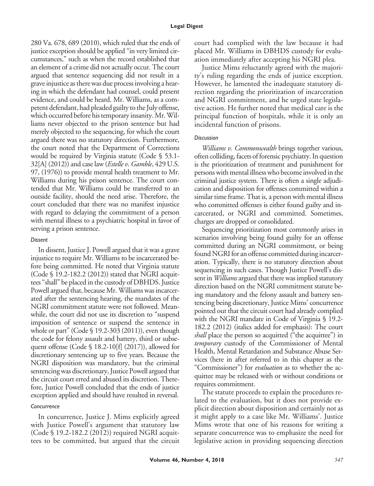280 Va. 678, 689 (2010), which ruled that the ends of justice exception should be applied "in very limited circumstances," such as when the record established that an element of a crime did not actually occur. The court argued that sentence sequencing did not result in a grave injustice as there was due process involving a hearing in which the defendant had counsel, could present evidence, and could be heard. Mr. Williams, as a competent defendant, had pleaded guilty to the July offense, which occurred before his temporary insanity.Mr.Williams never objected to the prison sentence but had merely objected to the sequencing, for which the court argued there was no statutory direction. Furthermore, the court noted that the Department of Corrections would be required by Virginia statute (Code § 53.1- 32[A] (2012)) and case law (*Estelle v. Gamble*, 429 U.S. 97, (1976)) to provide mental health treatment to Mr. Williams during his prison sentence. The court contended that Mr. Williams could be transferred to an outside facility, should the need arise. Therefore, the court concluded that there was no manifest injustice with regard to delaying the commitment of a person with mental illness to a psychiatric hospital in favor of serving a prison sentence.

## *Dissent*

In dissent, Justice J. Powell argued that it was a grave injustice to require Mr. Williams to be incarcerated before being committed. He noted that Virginia statute (Code § 19.2-182.2 (2012)) stated that NGRI acquittees "shall" be placed in the custody of DBHDS. Justice Powell argued that, because Mr. Williams was incarcerated after the sentencing hearing, the mandates of the NGRI commitment statute were not followed. Meanwhile, the court did not use its discretion to "suspend imposition of sentence or suspend the sentence in whole or part" (Code § 19.2-303 (2011)), even though the code for felony assault and battery, third or subsequent offense (Code § 18.2-10[f] (2017)), allowed for discretionary sentencing up to five years. Because the NGRI disposition was mandatory, but the criminal sentencing was discretionary, Justice Powell argued that the circuit court erred and abused its discretion. Therefore, Justice Powell concluded that the ends of justice exception applied and should have resulted in reversal.

## *Concurrence*

In concurrence, Justice J. Mims explicitly agreed with Justice Powell's argument that statutory law (Code § 19.2-182.2 (2012)) required NGRI acquittees to be committed, but argued that the circuit court had complied with the law because it had placed Mr. Williams in DBHDS custody for evaluation immediately after accepting his NGRI plea.

Justice Mims reluctantly agreed with the majority's ruling regarding the ends of justice exception. However, he lamented the inadequate statutory direction regarding the prioritization of incarceration and NGRI commitment, and he urged state legislative action. He further noted that medical care is the principal function of hospitals, while it is only an incidental function of prisons.

## *Discussion*

*Williams v. Commonwealth* brings together various, often colliding, facets of forensic psychiatry. In question is the prioritization of treatment and punishment for persons with mental illness who become involved in the criminal justice system. There is often a single adjudication and disposition for offenses committed within a similar time frame. That is, a person with mental illness who committed offenses is either found guilty and incarcerated, or NGRI and committed. Sometimes, charges are dropped or consolidated.

Sequencing prioritization most commonly arises in scenarios involving being found guilty for an offense committed during an NGRI commitment, or being found NGRI for an offense committed during incarceration. Typically, there is no statutory direction about sequencing in such cases. Though Justice Powell's dissent in *Williams* argued that there was implied statutory direction based on the NGRI commitment statute being mandatory and the felony assault and battery sentencing being discretionary, Justice Mims' concurrence pointed out that the circuit court had already complied with the NGRI mandate in Code of Virginia § 19.2- 182.2 (2012) (italics added for emphasis): The court *shall* place the person so acquitted ("the acquittee") in *temporary* custody of the Commissioner of Mental Health, Mental Retardation and Substance Abuse Services (here in after referred to in this chapter as the "Commissioner") for *evaluation* as to whether the acquittee may be released with or without conditions or requires commitment.

The statute proceeds to explain the procedures related to the evaluation, but it does not provide explicit direction about disposition and certainly not as it might apply to a case like Mr. Williams'. Justice Mims wrote that one of his reasons for writing a separate concurrence was to emphasize the need for legislative action in providing sequencing direction